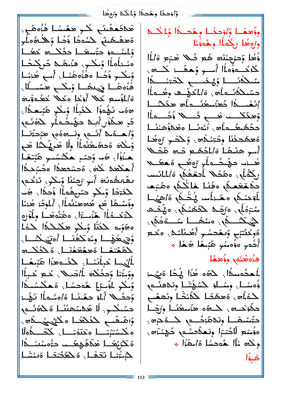وَاوْحِدًا وِهَجِدًا وَلِمَحْدِ وَرَهِمَا

قْدْمُعْقَىْبْ كْبْر ھَمُسُلْ فُزُّەھُـب. ەَھفَىقَىلَ ۖ كَشَوْحًا وَّجًا وَ كِلُّوْهِ أَم وَلْمُسْدَوْ حَتَّمِيقَا لِ حَثَّكَ بِهِ كَعُلَّا هُـُـٰٓٓٓ;هُماُل وَّىـٰكِـرٍ. فَنُمَكَّـمٍ كَوكِيْحُـٰل وَّىكْــر وَّحُــا ەفُزُەھُـُــا. أَـــى هُـزَـُــا فَنْوَهُمِ الْمَسْلَمِينَ مِنْ الْمَسْرِيمَ الْمَوْرَةِ لِلْمُؤْمِنَةِ مِنْ الْمَسْرِيمَ الْمَوْرَةِ ةالمؤمم كلا أوكل مكلا كعثموون ههَٰٮ نُؤْوَٰٓا ۖ كَثَرِٱٓا وُكُو هَٰٓ هُمِكًا ۚ. كَرِ هِـكُوْرِ أَبِـِهِ حَكْمِـثُـهِ لَٰهِ لِهُ شَـهِ وَّاهِــــة ما أَنَّــه وسَـــهوَه مِنحِتُولِ ا وَمِـكَةَ هَدةَ مَعُنُمَاً! وِلَا شَرِيَكُمَا شَـهِ لْمَيْزُلْ. ۞ وَحَسْرِ لِمَكْتَسَبِ هَٰٓيَتْمَا أهكعه لمُه: ةحسْععِمًا وصُبْحِهَا ىغَزىغُەنُە أَمِر رُحِنُنُا وُمْكُر. نَزْنُدە لِكْتَرْضًا وُمِكْدٍ حَمُّوبِيڤُماً! وُحِكَّاً. ۞ وِفَسَّىعًا هُم هَده هِنْثَمَاً!. أَلموكَرْ هُرْمًا كَتْݣُـــهُ مُّمّْ كُنْبَـــتْزَا بِ هِ هُنْهُ هْبَـــا وِلْمْوْرِهِ ەھَوِّ؎ ﻜﻜﺘُﺎ وَ~ﻜﻰ ﻣﻜﯩﻜﺪﮔﺎ ﺟـ21 وَّقِيْ هُنُوْ الْمُؤْسَسَرِ أَوْقِيْ كُمْ الْمُؤْرِنَةِ وَجَاءِ الْمُؤْرِنَةِ فَيَوْمِنَ مِنْ مِنْ لمَعْتِمْهِ مُعْمَعْمُنْهِ وَلَحَقَدْ مِنْ لْمُ لَيْ الْمُدْلُمُ الْمُسْمَعِينَ الْمُحْمَدُ الْمُحْمَدِ وَوَٰـَۃُنَا وَٰحِثَـٰکُ۞ لِمُلَکِ بِ کَـٰهِ کَـٰہِ اُا وَْكُو لِمُؤْمِرًا هُوَجِسَا. وَهكْسُدُا وُحثَـــلا أَبِلُو حمّينُــل هَ/هشماُل نَجُــز حسّىلـــر. لَا هَٰــهَـمَـسَـٰـَـل هَــلاهُ نَـــه وَاهَيفُسِمِ لِمَلْلَفُ مِكْتَيْهِيهُ وَهُ وَ. ەڭىئتۇسىل ەتىقۇسىل كقىگەلل كَتْجُبْعْدا شَكْفَهِعْمِ حَتّْمِمْلِكُمْ ِكْتُسْلِ تَتَعْقَـلْ. هُ كَعَكْتَسْلِ هُنَتْسَل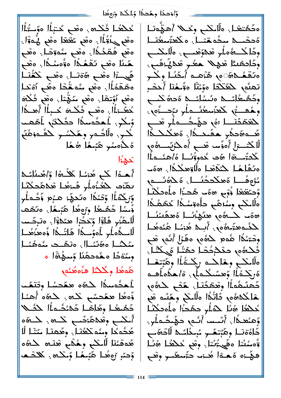وَٰٰۢ وَحِكٗا وِهُحِكٗا وَٰٰٰٰٓٓٓٓا وَٰٰٓٓءِهُٰٓدَا

ىُمْحُمَّا ثَبْحُدُه . هِ مَعْ كُتِبَاًا هَوِّسْتُمَاْ وهُم حَاوُمُاً. وهُم عَقْفًا وهُم لِمُوَوَّاً. ەھُم فُقَدُمُّاً. ەھُم مُەرْتُىل ەھُم هَٰىلًا ەقْعِ نَقْعُكُا ەۋُەسُكُا. ەقْع ەھْفَەُ)ْا. ەھْم مْدْهْدًا ەھْم آەْدَا ەقْعِ آوُتْتْمَا. ەقْعِ مَنْتَمْتَا. ەقْعِ قُلَافْ حُكَّـۃ اُل وقب كُـُـدة كُــزاًا أَهــدًا وًىكُنْ. أَحْثُفْتُمْمَا دَثَكْتُمْ أَشْقَتْ كُبْرٍ. هَلَاشُـهرِ وِـهَكْسُــرِ كَـفُـهوْهُمُ ەڭدەممە ھەكىگا ھىگا تحلمأا أَحدًا كُلِّ هُنْسًا كَلَّدَهُ! وَٱهْتَنَاسُكَ ىڭزى خۇخُەلُر قىزۇدا قىدۇمكىلا وٌرَبِّكُمُأَا وُتَنُدُّا مَنْدَهُ: هـُرَمْ وَُشُـمَلُر ؤَسُلًا خُھُىعُلّا وَرُوهُا هُرُسُلًا. وَنُعْفَ لَّاحِكْبُرِ هَٰاوَٓا وِّتَحَٰدًٖا مِنَكَاوَٓا وَ وَبِكَـب لَاسِكُولُرِ لِمُؤَسِّكًا فَاتُـٰكُا ؤُوهزُهُـا مَكْمًا هَوَّنُّـالَ هِنْگَـد مُّهِفُـا وِمَّةَهُّا مَعْهَدَهُماْ وَسَيُّةًا ﴾ هُوهُا وِكُلْمًا فُنُوهُدُو لمُعْدِمِيكَا لِحِيدَة مِعْجِسًا وِقْتَعَب ؤُوهُا هِمُحِسَّمٍ كُلُّهٍ. كُلُّهُو أُهْدَا كَشَمْـا وِمَٰاهَـا كَمْنُشُـٰه اُللهَـْدَا

أىكىب وقىدەئىئكىب كىدە . كىيۇە

هُدُّه ُدا ومُه تَكْمُلْ. وهُدنا مُنْنَا لَّا

هُدفَّنْنَا لَمَاحْمٍ وِهُٰدُمٍ مُحْتَةٍ لِحَدَّةٍهِ

وُحمَٰرٍ وَوهُما هَٰبُعُما وُحْلِهِ ﴾ كَلَاحُـعَا

ەكھُتھْا. ەلَّاسْكى وكْمْلا أَهَوْءَتْدَا ەْدېسى مىشەھتىل. ەڭھەرمەمىسى وِحَاحُدُ هُءلُو هُدُوِّهْبٍ. هِلَاسُكَبِ وَحَادهَمْا مَنْهَلا حَمْرِ مَدْلَ:قَبِ. ەئقىملىھ ئى ھاۋەھ كىڭلى بىلىر تَعِثُم ۖ لِكَنْكُمْ وَوُعْتًا وَوَّعَمْنَا أَحِدْبِ وكَهُىعُلْئَــدْ ەئىئائــدْ كَدەُ كْنـــو وِهُدِ تُهِ كَعْنَصْعُلُ ءَلَمٍ لَاِدٍ أَوْلَ هُـــەھَحكُم ــمڤَــدـكُمْلِ. هَعنْــدْـكَمْل لَّا كُتْنَــْ مِنْ أَوْمُو مَنْـــعِ أَوْ لِكَوْيُـــوْهُ مِ لَكْتَوْسِيرْهَا رَجُد كُدُوقُرُسَا وُاهِنَدْهَا ەئگاھا خەقھا ەللۇھكىلا. «ەَ مُؤَوفُــا هُمحُدَدُــا. هُـحَوُنُــــم وَحَكْفَهَا وَٰوْمٍ 50ْفَ هَٰدَ أَ 1ْ مَاءَدَكْتُـا ولَاحْمِ وِسُرِهُم حاْوَتِسُكُا كَتَفَعُكُا الْمُعَامِدِ مِنْهِ مُنْهَارِ الْمُعَامَلُهُ الْمُعَامَلُهُ مِنْ لِمُشْمَعِتُمِهُومٍ . أَبِيهِ هُزِسًا هُنُوهُما وِدْتِنُكُمْا هُدَمَ حَدُّهُ وَهَوْلِ أَنَّهَمْ شَع ثَكْمُوهِ حَدْثَرْحُصْاً حَمَّتُا وَحُكْتًا. ملائكم وهلكم ركثةُ اوهُبْتَهَا هُ رِبْكُمُاْ الْمُعَشَّسُكُمْ بِهِ وَاسْتَعْمَاهُ أُهْتَ حُهنُهُماُ! ومُقَدَّلَ … هُبْ حَدُّهُ و هَاكُدْهُمْ دَاتُدًا هِلَّاحٌ وَهَنَّه شَي مُحْمَدُا هُنَا حَدَّلُو حَهْدُا مأْوَحِكْمًا وُهنُعَـدًا. أَنَّــب أَنَّـه حَهَّـثُـملَـه. كْلْمْقْسْا وِهَبْتُمْسِ مُبْحُلْسُكَ لْاَدْهَبْ وُّەمْىُلُدَا ەھَيْتُرْلَدَا. وقىي كَحْتَكَىلْ شَاسْلَ فؤخ ومقافين حتمكم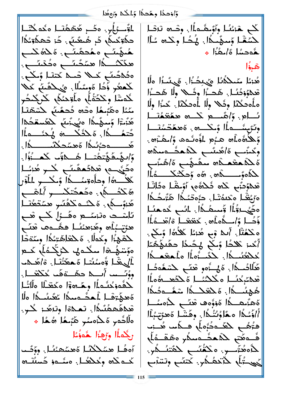وَاوْحِكًا وِهَجِدًا وَلِمُحْمَّ وَرُوهُا

لمُؤْسِئُ بِهِ وَضَٰٓ ۖ هُنَّفُهُمْ وَهُوَ كُنْسًا لَمَنْ وَهُوَ مُحَسَّلًا حكَّوَكُنكُمْ ثُمْ هُنفُنُمْ. ثُمْ تَتَعَكَّوَنُكُمْ هُنؤُمَنٌــع مُحَمَّمَــع. هَ لَاهُ كُنْــع هكّتُكُمُ اهتَكْتَبِ هكْنْتَبِ. ەكلاڭىڭ كىلا تىلى كتتىل ۇنگىي. كَلْعَقُو وَّدُّكْمْ وَسَمَّالٍ. وَيُحَكَّمُكُمْ كَلَّا كُمثْا وِكْدَّقُلُ مِلْقِنِيْكُمْ كَرِيْكْدُو مَّنْا هِمَّىُـهَا هِدُه دُحمَّىً لِمَتَعْلَـا الصفسفة بِنَهْرُه الْهُهُمَ وَسَقَّحُوا دَّتمُـــدُا. هَـحْثَكــــف هُـحتُــــملَّا وَّابِيَّىفَيِّتَتَمَسَـ هُـــدَّوَّبِ كَمَــزُوْلَ. ەكَنْ مِنْ شَدْكَعفَىنَــمِ كَسْرِ شَرْسُــا كلاً ها( وحادة سُمالاً وَكسب لملّة را ەتخشىكى. ەخمختكىسىر ألماھى هَٰزَوٖۡ؎ٗڸۥ هَ ۮۦڡڐۿؙٮٞٮڔ همٚؾٙڠؙڷٮٳ ئاشــد ەتنئـــم ەفـــُل كُـــم قىــم هوّته الله وهُزهمُنُا هِهُــوها هُنّــم لحَمْهُ:ُا وِكَم<sup>ْ</sup>لًا. هَلكْلِغَتِنُكُلُّ وِمُتَدَّلُّ ەۆسۈگە سىگىمى كۆتكەگى كىم لْمَلْكُمْ الْمَسْتَعْمَدْهُ لْمَعْنَىنَا بَعْضِ الْمُعَامَلَةَ مِنْ الْمَعْرَاكَ ووُنَّـــب أَبـــــــمْ حصّـــة هُب يُختَهْـــــــل . لجُفُّوبُحُنُّماْلِ وهُبِهِ وْلَا مَكْفَحْلَلا مِلْلَتُـلْ كَعِجْتِكَ أَحْدُدِمِجًا غَعَّبُدُا وَلَا مْدْهُهِمُنَّدُا. تَعْدَةَا وِتْرَهُـٰ: كُـٰرٍ. ەلگۇم كەنمىر كېگە ئەگە . رِ جُدِيًا وَرَجِزًا هُوَزُمَا } أەفْ) ھى*ئ*ىلانىڭ ەھى*ئىھىئى*ل. وۆڭپ كَــه ݣَلَاهِ وِكْـلْحُكْــل: هَمْــهْوْ كَسْتُلْــهِ

كُم هْنْصُا وَأَوْحَقُـٰهِ أَل وحْـده تَاتْـا لِمُتَمَّا وَسَهَّىٰهَا. هُڪُا وِكْدَ عَاْل هُ انْثُمْ أَنْ اللَّهُ أَنْ **ئگرؤا** لله الْمِنْرِهِ . انْكْبِرْهِ لْمُمْكَمِّدْ لْمُهْتَمَّة هْدَوۡوَدُـُـٰـا ٖ. هَٰحــُۥٗا وِثَــٰلا وِلًا هَحــُۥٗا دمُأدككُمُّا وشَلا ولًا مُأدككُمُّا. كَمِزًا ولُا ئام. وَأَهُمِ مَ كُلُّ مَعْقَدُهُ أَ وِتَوَّمِيْنَـــهِ أَلْمَ وَيَتَـــــــرَهُ . هَ هُهُنْتُمَيْنَـــــلِ مَكْلَمَعْكُمْ مُا مَصَنَّهُم مَا مُهْتَنِم لِمُحَمَّدَةٍ مِسْمَدُهُ : 60 وَحَكْتُكُمْسَدُهُ أَ هَدۡوَدَٰٓٔ مِ دَهَ مَدۡشَہٖ ۖ أَوۡعَـٰٓا ہِ مَاتَـٰا هِ ُبِقْدا مِنْدَمْتْلِ. حَرْمَتْنَـٰهُا هَٰتُنِـحُـٰهُا وَكَيْ ارْتُمُّا وَّسْبِكُمْاً. لَمْبَ جَْدِهِنَا وَّحُــا وَّاـــدُّه أَه، بِ حُقْفَــا وْاقْــدُاْ ه نَكْمُتْلَ. أَبِكُمْ وَبِي هُذِيْلِ كَلَاهُا وَمِكْلٍ. أَكُد: ݣْلاَهُا وُبِـكُمْ لِهَـمُـدًا حفَّىهُمَّـًا مُحْظُنُهُ أَ، حَدَّثَوَهُ أَمْ عَصْمَهُ أَ هَٰلَائُمِـدًا. هَلِــ;ٌوو هَنّـع حَسْعُوئِـا هُدْهُدُكُ مِكْتُسُلُ وَكَتُصَبُّوهُ هُجِسُدًا. هَجْعَجَدُ هُلْ مُهْدَءُ ەُھنُىھىدا ەُووُەھ ھَىُس لأەمُىل ٱلْأَمُـٰكَلَا مِعَّاؤُنُنُـٰكَلَ. وِكَنْنُـلَا هَعْزَتِـبُرَلَا فتُهُم للطَّـهدُوماً) فسلَّمت هُــزت فُــەَمَّتَم حُلَّاھڪُــەمىدُم ەھْـقَــەُگَمْ لأەھُتْر و مَتَقْتُمْسِ كَمُتْتُسْكُوب كسائم لمأتده ماس كتتسم وتشأس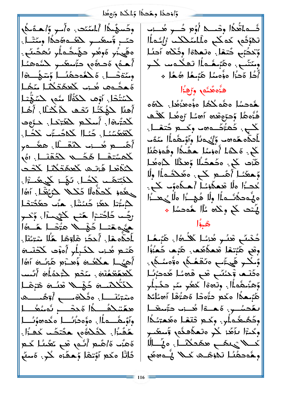وَٰٰۢ وَحِكٗا وِهُحِكٗا وَٰٰٰٰٓٓٓٓا وَٰٰٓٓءِهُٰٓدَا

وِكْسِهُْدَا ٱلْمُمَّدَ. ه/ٌسِرِ وَٱلْعَـقَائِكِ حِسْرِ وَّسعَمِ بِنَ لَهُمُ وَهُوَا وَسُتَمَالَ ەقْھْبُر ەُوھُر ھۇمشەملُر ئىھشى*ت*. أهفه ةدشه حتّمعكب لمشمعنا ومَتَوْتَـــا. هَ كَمُّوحِفُنُــا وَنْتَــهُـــــوْا ەْھھُـەم ھُـن كَعمَّتَكْتَا مَمْھُـا َحْمَتُحْاً. آوْمَا حَكَّةُلَّا مُّەر حَمَّةُمَا أَهنُا حِيْحُتُا بَدْء حَرَّكْتِبًا. أَهُا كْحَتّْمِرْهَا. أُمِيكُم كَعَتْبْدا. حَزَّوه ݣَقْعَمْنْدَا. دْنْالْ ݣْلْاشْتُو ݣْدْلْ. كعشتقه ككك حدّقتها وي لمتقشا فزته كعفتكتا كثب لْمَكْتُبَعِّبِ بِلْكُلِّ. تُؤْخِ لَكِي هُنْتْزَا. حَقُّوهِ كَحَذَّهِ الْكُمُّ الْمَفْكُمُ بِمَعْصِرِ كُرْتُوْتَا حَقَّرْ دَّسْتْنَا. هُرَّتْ حَقَدَّتْدَا رجَّى كَاكْتَبْرَا هُنْم كَيُّكْسَرَا. وُنْكَــو أَهْلَمَ الْكَهْلُكُ مِتُرْمَلٍ هُمَّاهُمْ لَمحْفَىهَا. أَحدُ: هَاوَهَا هَالا سْتِنْتَا. كُمْــــــرْ هُـــز ما مَا مَوْد لِلْكَــْمَــدَة مَـــرَّة مِـــدَّة مِــدَّة مِــدَّة مِــدَّة مِـ أَهِيُها هِكْلُاهُ وَُهِنْوَمٍ هَٰزِيْهِ أَهُ ا ݣَعْعُقْعُلُهُ . مَكْتُمْ ۖ كَيْحَفّْلُهُ ۚ أَنَّسَب للتُلْلْسَــة حُمْلِــلا مْنُــة هْرْهْــل ەسْت<sup>ى</sup>كْــــا. ەڭلاۋىـــــە <sup>1</sup>قۇھـــــى وَأَوْحَقُـــد}اً . دَوْددُنُـــا دَخْدەوُنُـــا هَقَىٰزًا. لِمُثَلِّأَةُ مِعَتَمَى لَاهِ زَا. ەُھنُە ەُاھُىم آئىم ھَم مُعُبىُل كَىم دَٰاتْا ہکم اَوۡتِمۡا وَٖحفَۃہ کُرٖ. ہٗسکٖ

ثَـــولمَتَٰٰهُمُّا وتَـبَـــهِ أُوُمِ تُــَــبِ تُنَـــزِب لْمَوَّدُو مُكْتَبَ مِلْمُكَكَّب وُلْمُكَمَّد وِّدْدُبِ دُّنقا. هِ ْهِدْهَا وِثْدُه أَحِبُا وِمَتَنْبٍ. هِمَّىْشُمْلَا تَعْكُمْتْ كُنْتِر أَجَلَ هَجَزَا وَوُوسُا هَبُيمًا شَمَّا \* فَأَوهُدُومُ وَرُقِزًا هُوصِمُا وهُوكُهُا وؤُوهُ;هُا. كَرَهُو فُنُوهُا وُحرُوهُده أهمُا وُوهُـا لَكْـُف ݣﻲ. ﻛُﻌﺘُﻛْ؎ﻩﺏ ﻭﻛْﺤﻢ ﻛُﺘﻘَﻠَ. لْمَذَه هُده وَإِنَّهُمْ وَأَوَّعَفُمْ الْمَدَّمَ كُمْ . هَ كُمَّا أُومِٰسًا حَقَّىهُ! وفُوهُنُا هَّوَد لَكُمْ. وَكُمّْصُلًا وَمِكْلًا لِأَوْهَٰـا وَحِعَنُـا أَمُّــع كَبِ. مَعَكْــُـماًا وِلَا حُدءًا وَلَا تَعْمَكُوْسًا أَحْكُومًا كُلِّي. وَأَسْتَعْرَفُ الْمَسْرَةُ وَالْمَسْتَوْرِهِ مِنْ الْمَسْتَوْرِهِ مِنْ الْمَسْتَوْرِهِ مِنْ يُمتد لكم وكمه لمأا حُدمسًا \* **ئی۔ؤا** دُكْسً هْنُـرٍ هُـٰٓئِـل كَلاُـهُا. هَٰٓبُـهُـل وِهْمِ هُبُتْهَا هُمَكَمَّفٌ هُبَّمَ خَمْزُوًّا ۇبكىر قىيتىم ەتقىقىگى ەۋەشىگىنى ەڭلى ۋىنئىي ھى قەئا ھەئزئا وُهِنُمِّهُماْلِ. وِتَوَوَّا كَعُو مِّرِ حَكْرِلُو هُبُعِمًا مَكْمٍ حَتَّوَهَا وَهِتُوْا أَهْلُكُمْ بمُحسُبٍ. هُمْــةَ هُــزب حَزَّمَهْــأ وكَهُبِعُداُنِ. وكُمْ تَتَمْلُ هَمُعْتَبُدُا وِكْتْرَا بِأَهْدَ كُرِ وَتَعَكُّوهُمْ وَّسْعَيْبِ الْمَالْسِيْمِ ، الْمُسْكَمَعْصَمِ مِنْ صَّلَاتِ مَنْ مَسْكَمَّةٍ مِنْ مَسْكَمَّةٍ مِنْ سَلَّاتِ مَ وهُوحوُنُمْ لَكُلْوَهُــِهِ كَمِـلاً فُيُـوهِ هُمْ